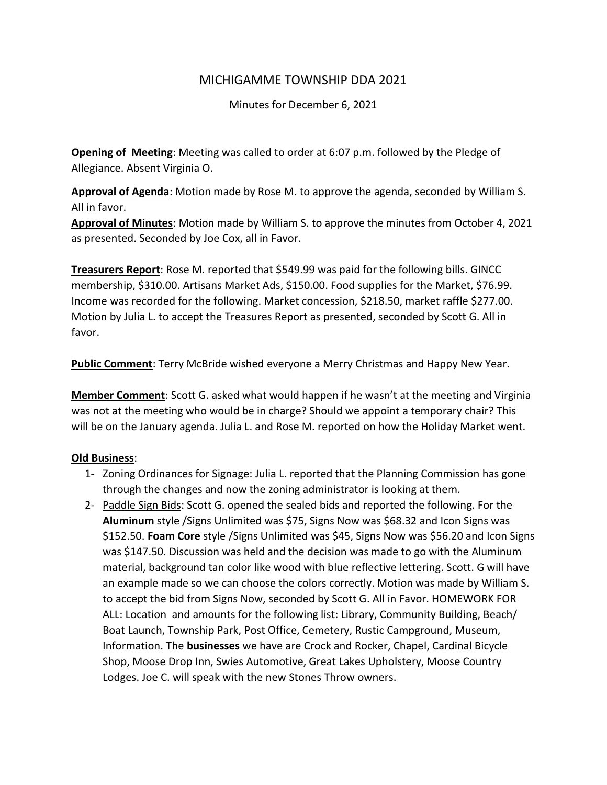## MICHIGAMME TOWNSHIP DDA 2021

Minutes for December 6, 2021

Opening of Meeting: Meeting was called to order at 6:07 p.m. followed by the Pledge of Allegiance. Absent Virginia O.

Approval of Agenda: Motion made by Rose M. to approve the agenda, seconded by William S. All in favor.

Approval of Minutes: Motion made by William S. to approve the minutes from October 4, 2021 as presented. Seconded by Joe Cox, all in Favor.

Treasurers Report: Rose M. reported that \$549.99 was paid for the following bills. GINCC membership, \$310.00. Artisans Market Ads, \$150.00. Food supplies for the Market, \$76.99. Income was recorded for the following. Market concession, \$218.50, market raffle \$277.00. Motion by Julia L. to accept the Treasures Report as presented, seconded by Scott G. All in favor.

**Public Comment:** Terry McBride wished everyone a Merry Christmas and Happy New Year.

Member Comment: Scott G. asked what would happen if he wasn't at the meeting and Virginia was not at the meeting who would be in charge? Should we appoint a temporary chair? This will be on the January agenda. Julia L. and Rose M. reported on how the Holiday Market went.

## Old Business:

- 1- Zoning Ordinances for Signage: Julia L. reported that the Planning Commission has gone through the changes and now the zoning administrator is looking at them.
- 2- Paddle Sign Bids: Scott G. opened the sealed bids and reported the following. For the Aluminum style /Signs Unlimited was \$75, Signs Now was \$68.32 and Icon Signs was \$152.50. Foam Core style / Signs Unlimited was \$45, Signs Now was \$56.20 and Icon Signs was \$147.50. Discussion was held and the decision was made to go with the Aluminum material, background tan color like wood with blue reflective lettering. Scott. G will have an example made so we can choose the colors correctly. Motion was made by William S. to accept the bid from Signs Now, seconded by Scott G. All in Favor. HOMEWORK FOR ALL: Location and amounts for the following list: Library, Community Building, Beach/ Boat Launch, Township Park, Post Office, Cemetery, Rustic Campground, Museum, Information. The businesses we have are Crock and Rocker, Chapel, Cardinal Bicycle Shop, Moose Drop Inn, Swies Automotive, Great Lakes Upholstery, Moose Country Lodges. Joe C. will speak with the new Stones Throw owners.